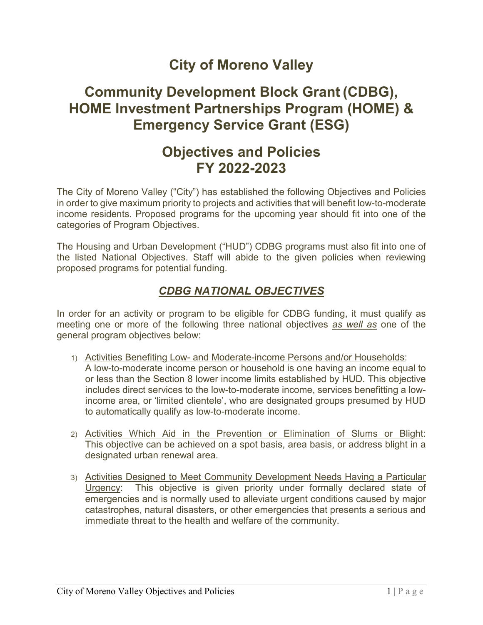# **City of Moreno Valley**

# **Community Development Block Grant (CDBG), HOME Investment Partnerships Program (HOME) & Emergency Service Grant (ESG)**

# **Objectives and Policies FY 2022-2023**

The City of Moreno Valley ("City") has established the following Objectives and Policies in order to give maximum priority to projects and activities that will benefit low-to-moderate income residents. Proposed programs for the upcoming year should fit into one of the categories of Program Objectives.

The Housing and Urban Development ("HUD") CDBG programs must also fit into one of the listed National Objectives. Staff will abide to the given policies when reviewing proposed programs for potential funding.

# *CDBG NATIONAL OBJECTIVES*

In order for an activity or program to be eligible for CDBG funding, it must qualify as meeting one or more of the following three national objectives *as well as* one of the general program objectives below:

- 1) Activities Benefiting Low- and Moderate-income Persons and/or Households: A low-to-moderate income person or household is one having an income equal to or less than the Section 8 lower income limits established by HUD. This objective includes direct services to the low-to-moderate income, services benefitting a lowincome area, or 'limited clientele', who are designated groups presumed by HUD to automatically qualify as low-to-moderate income.
- 2) Activities Which Aid in the Prevention or Elimination of Slums or Blight: This objective can be achieved on a spot basis, area basis, or address blight in a designated urban renewal area.
- 3) Activities Designed to Meet Community Development Needs Having a Particular Urgency: This objective is given priority under formally declared state of emergencies and is normally used to alleviate urgent conditions caused by major catastrophes, natural disasters, or other emergencies that presents a serious and immediate threat to the health and welfare of the community.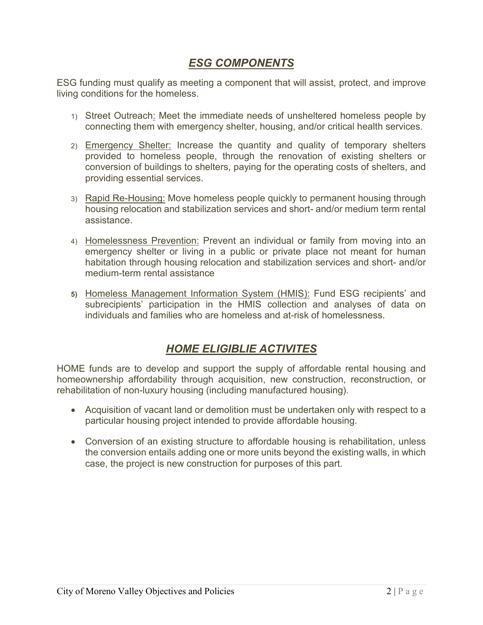## *ESG COMPONENTS*

ESG funding must qualify as meeting a component that will assist, protect, and improve living conditions for the homeless.

- 1) Street Outreach: Meet the immediate needs of unsheltered homeless people by connecting them with emergency shelter, housing, and/or critical health services.
- 2) Emergency Shelter: Increase the quantity and quality of temporary shelters provided to homeless people, through the renovation of existing shelters or conversion of buildings to shelters, paying for the operating costs of shelters, and providing essential services.
- 3) Rapid Re-Housing: Move homeless people quickly to permanent housing through housing relocation and stabilization services and short- and/or medium term rental assistance.
- 4) Homelessness Prevention: Prevent an individual or family from moving into an emergency shelter or living in a public or private place not meant for human habitation through housing relocation and stabilization services and short- and/or medium-term rental assistance
- **5)** Homeless Management Information System (HMIS): Fund ESG recipients' and subrecipients' participation in the HMIS collection and analyses of data on individuals and families who are homeless and at-risk of homelessness.

# *HOME ELIGIBLIE ACTIVITES*

HOME funds are to develop and support the supply of affordable rental housing and homeownership affordability through acquisition, new construction, reconstruction, or rehabilitation of non-luxury housing (including manufactured housing).

- Acquisition of vacant land or demolition must be undertaken only with respect to a particular housing project intended to provide affordable housing.
- Conversion of an existing structure to affordable housing is rehabilitation, unless the conversion entails adding one or more units beyond the existing walls, in which case, the project is new construction for purposes of this part.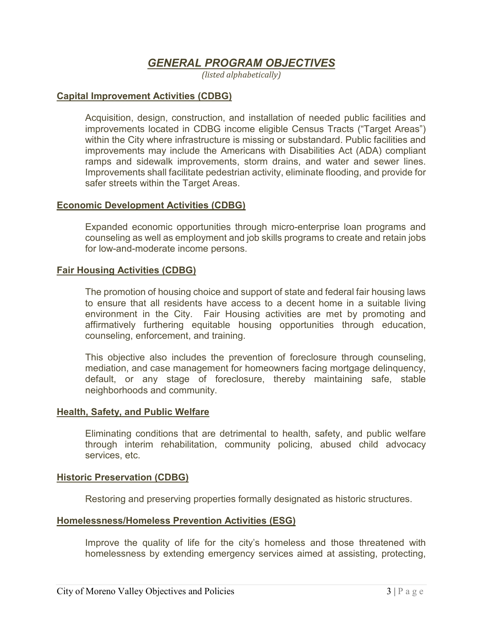## *GENERAL PROGRAM OBJECTIVES*

*(listed alphabetically)*

#### **Capital Improvement Activities (CDBG)**

Acquisition, design, construction, and installation of needed public facilities and improvements located in CDBG income eligible Census Tracts ("Target Areas") within the City where infrastructure is missing or substandard. Public facilities and improvements may include the Americans with Disabilities Act (ADA) compliant ramps and sidewalk improvements, storm drains, and water and sewer lines. Improvements shall facilitate pedestrian activity, eliminate flooding, and provide for safer streets within the Target Areas.

### **Economic Development Activities (CDBG)**

Expanded economic opportunities through micro-enterprise loan programs and counseling as well as employment and job skills programs to create and retain jobs for low-and-moderate income persons.

#### **Fair Housing Activities (CDBG)**

The promotion of housing choice and support of state and federal fair housing laws to ensure that all residents have access to a decent home in a suitable living environment in the City. Fair Housing activities are met by promoting and affirmatively furthering equitable housing opportunities through education, counseling, enforcement, and training.

This objective also includes the prevention of foreclosure through counseling, mediation, and case management for homeowners facing mortgage delinquency, default, or any stage of foreclosure, thereby maintaining safe, stable neighborhoods and community.

#### **Health, Safety, and Public Welfare**

Eliminating conditions that are detrimental to health, safety, and public welfare through interim rehabilitation, community policing, abused child advocacy services, etc.

#### **Historic Preservation (CDBG)**

Restoring and preserving properties formally designated as historic structures.

#### **Homelessness/Homeless Prevention Activities (ESG)**

Improve the quality of life for the city's homeless and those threatened with homelessness by extending emergency services aimed at assisting, protecting,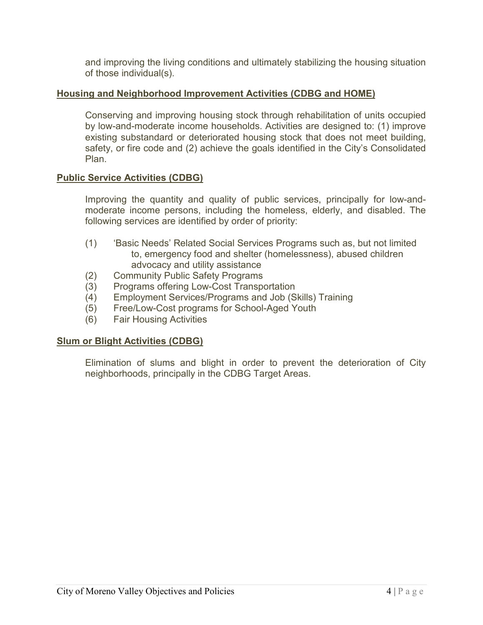and improving the living conditions and ultimately stabilizing the housing situation of those individual(s).

## **Housing and Neighborhood Improvement Activities (CDBG and HOME)**

Conserving and improving housing stock through rehabilitation of units occupied by low-and-moderate income households. Activities are designed to: (1) improve existing substandard or deteriorated housing stock that does not meet building, safety, or fire code and (2) achieve the goals identified in the City's Consolidated Plan.

### **Public Service Activities (CDBG)**

Improving the quantity and quality of public services, principally for low-andmoderate income persons, including the homeless, elderly, and disabled. The following services are identified by order of priority:

- (1) 'Basic Needs' Related Social Services Programs such as, but not limited to, emergency food and shelter (homelessness), abused children advocacy and utility assistance
- (2) Community Public Safety Programs
- (3) Programs offering Low-Cost Transportation
- (4) Employment Services/Programs and Job (Skills) Training
- (5) Free/Low-Cost programs for School-Aged Youth
- (6) Fair Housing Activities

#### **Slum or Blight Activities (CDBG)**

Elimination of slums and blight in order to prevent the deterioration of City neighborhoods, principally in the CDBG Target Areas.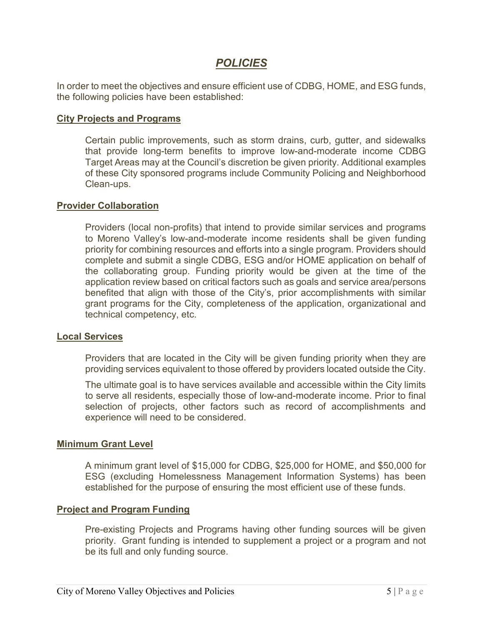# *POLICIES*

In order to meet the objectives and ensure efficient use of CDBG, HOME, and ESG funds, the following policies have been established:

#### **City Projects and Programs**

Certain public improvements, such as storm drains, curb, gutter, and sidewalks that provide long-term benefits to improve low-and-moderate income CDBG Target Areas may at the Council's discretion be given priority. Additional examples of these City sponsored programs include Community Policing and Neighborhood Clean-ups.

#### **Provider Collaboration**

Providers (local non-profits) that intend to provide similar services and programs to Moreno Valley's low-and-moderate income residents shall be given funding priority for combining resources and efforts into a single program. Providers should complete and submit a single CDBG, ESG and/or HOME application on behalf of the collaborating group. Funding priority would be given at the time of the application review based on critical factors such as goals and service area/persons benefited that align with those of the City's, prior accomplishments with similar grant programs for the City, completeness of the application, organizational and technical competency, etc.

#### **Local Services**

Providers that are located in the City will be given funding priority when they are providing services equivalent to those offered by providers located outside the City.

The ultimate goal is to have services available and accessible within the City limits to serve all residents, especially those of low-and-moderate income. Prior to final selection of projects, other factors such as record of accomplishments and experience will need to be considered.

#### **Minimum Grant Level**

A minimum grant level of \$15,000 for CDBG, \$25,000 for HOME, and \$50,000 for ESG (excluding Homelessness Management Information Systems) has been established for the purpose of ensuring the most efficient use of these funds.

#### **Project and Program Funding**

Pre-existing Projects and Programs having other funding sources will be given priority. Grant funding is intended to supplement a project or a program and not be its full and only funding source.